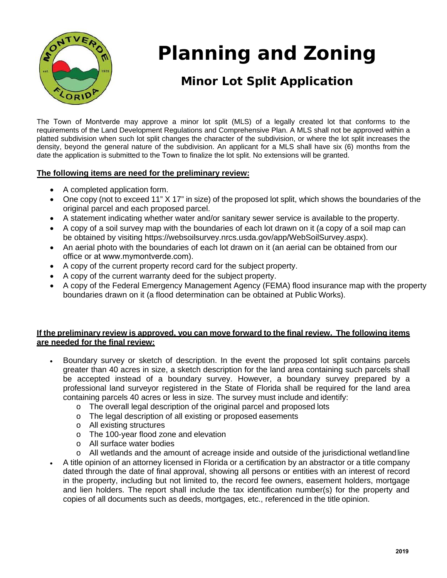

# **Planning and Zoning**

## **Minor Lot Split Application**

 The Town of Montverde may approve a minor lot split (MLS) of a legally created lot that conforms to the requirements of the Land Development Regulations and Comprehensive Plan. A MLS shall not be approved within a platted subdivision when such lot split changes the character of the subdivision, or where the lot split increases the density, beyond the general nature of the subdivision. An applicant for a MLS shall have six (6) months from the date the application is submitted to the Town to finalize the lot split. No extensions will be granted.

#### **The following items are need for the preliminary review:**

- A completed application form.
- One copy (not to exceed 11" X 17" in size) of the proposed lot split, which shows the boundaries of the original parcel and each proposed parcel.
- A statement indicating whether water and/or sanitary sewer service is available to the property.
- A copy of a soil survey map with the boundaries of each lot drawn on it (a copy of a soil map can be obtained by visiting https://websoilsurvey.nrcs.usda.gov/app/WebSoilSurvey.aspx).
- office or at www.mymontverde.com). • An aerial photo with the boundaries of each lot drawn on it (an aerial can be obtained from our
- A copy of the current property record card for the subject property.
- A copy of the current warranty deed for the subject property.
- boundaries drawn on it (a flood determination can be obtained at Public Works). • A copy of the Federal Emergency Management Agency (FEMA) flood insurance map with the property

#### **If the preliminary review is approved, you can move forward to the final review. The following items are needed for the final review:**

- Boundary survey or sketch of description. In the event the proposed lot split contains parcels greater than 40 acres in size, a sketch description for the land area containing such parcels shall be accepted instead of a boundary survey. However, a boundary survey prepared by a professional land surveyor registered in the State of Florida shall be required for the land area containing parcels 40 acres or less in size. The survey must include and identify:
	- o The overall legal description of the original parcel and proposed lots
	- o The legal description of all existing or proposed easements
	- o All existing structures
	- o The 100-year flood zone and elevation
	- o All surface water bodies
	- $\overline{a}$ o All wetlands and the amount of acreage inside and outside of the jurisdictional wetlandline
- dated through the date of final approval, showing all persons or entities with an interest of record dated unough the date of mial approval, showing all persons of entities with an interest of record<br>in the property, including but not limited to, the record fee owners, easement holders, mortgage • A title opinion of an attorney licensed in Florida or a certification by an abstractor or a title company and lien holders. The report shall include the tax identification number(s) for the property and copies of all documents such as deeds, mortgages, etc., referenced in the title opinion.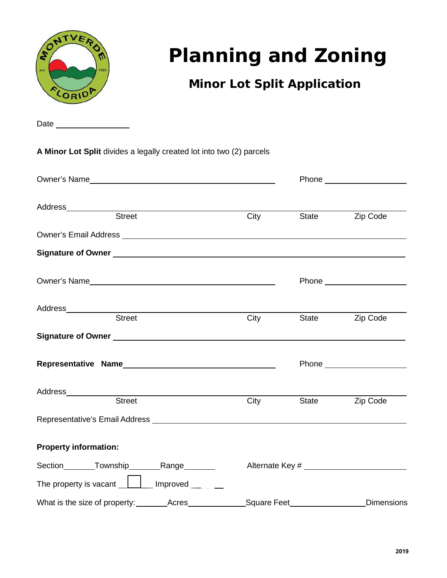

# **Planning and Zoning**

## **Minor Lot Split Application**

Date

**A Minor Lot Split** divides a legally created lot into two (2) parcels

| Owner's Name <b>Contract Contract Contract Contract Contract Contract Contract Contract Contract Contract Contract Contract Contract Contract Contract Contract Contract Contract Contract Contract Contract Contract Contract C</b> |      |                                         |                               |
|--------------------------------------------------------------------------------------------------------------------------------------------------------------------------------------------------------------------------------------|------|-----------------------------------------|-------------------------------|
| <b>Street</b>                                                                                                                                                                                                                        | City | State                                   | Zip Code                      |
|                                                                                                                                                                                                                                      |      |                                         |                               |
|                                                                                                                                                                                                                                      |      |                                         |                               |
|                                                                                                                                                                                                                                      |      |                                         |                               |
|                                                                                                                                                                                                                                      |      |                                         |                               |
|                                                                                                                                                                                                                                      | City | State                                   | Zip Code                      |
|                                                                                                                                                                                                                                      |      |                                         | Phone _______________________ |
| Address <sub>_____________</sub><br><u> 1989 - John Stein, Amerikaansk politiker (</u><br>Street                                                                                                                                     | City | State                                   | Zip Code                      |
|                                                                                                                                                                                                                                      |      |                                         |                               |
| <b>Property information:</b>                                                                                                                                                                                                         |      |                                         |                               |
| Section Township Range                                                                                                                                                                                                               |      |                                         |                               |
| The property is vacant $\boxed{\phantom{a} \phantom{a}}$ Improved $\phantom{a} \phantom{a} \phantom{a}$                                                                                                                              |      |                                         |                               |
|                                                                                                                                                                                                                                      |      | Square Feet <b>Solution</b> Square Feet | <b>Dimensions</b>             |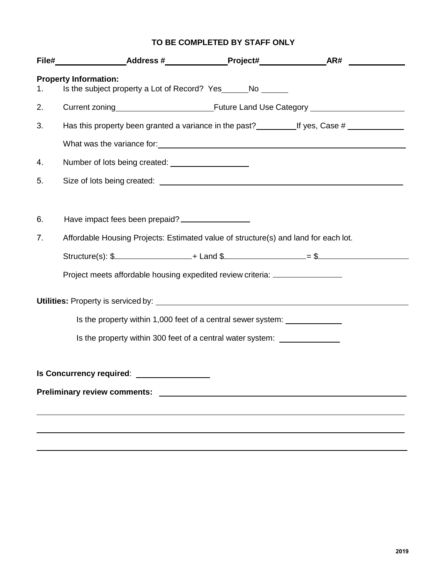#### **TO BE COMPLETED BY STAFF ONLY**

| 1. | <b>Property Information:</b><br>Is the subject property a Lot of Record? Yes______No ______                                                                                                                                    |  |
|----|--------------------------------------------------------------------------------------------------------------------------------------------------------------------------------------------------------------------------------|--|
| 2. |                                                                                                                                                                                                                                |  |
| 3. | Has this property been granted a variance in the past?<br><u>Lif</u> yes, Case #                                                                                                                                               |  |
|    | What was the variance for: What was the variance of the state of the state of the state of the state of the state of the state of the state of the state of the state of the state of the state of the state of the state of t |  |
| 4. |                                                                                                                                                                                                                                |  |
| 5. |                                                                                                                                                                                                                                |  |
|    |                                                                                                                                                                                                                                |  |
| 6. | Have impact fees been prepaid? ________________                                                                                                                                                                                |  |
| 7. | Affordable Housing Projects: Estimated value of structure(s) and land for each lot.                                                                                                                                            |  |
|    | Structure(s): \$                                                                                                                                                                                                               |  |
|    | Project meets affordable housing expedited review criteria: ____________________                                                                                                                                               |  |
|    |                                                                                                                                                                                                                                |  |
|    | Is the property within 1,000 feet of a central sewer system:                                                                                                                                                                   |  |
|    | Is the property within 300 feet of a central water system: ________________                                                                                                                                                    |  |
|    |                                                                                                                                                                                                                                |  |
|    | Is Concurrency required: _________________                                                                                                                                                                                     |  |
|    |                                                                                                                                                                                                                                |  |
|    |                                                                                                                                                                                                                                |  |
|    |                                                                                                                                                                                                                                |  |
|    |                                                                                                                                                                                                                                |  |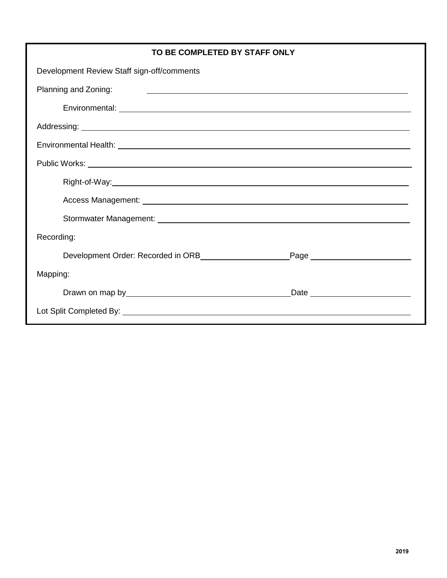| TO BE COMPLETED BY STAFF ONLY                                                                                                                                                                                                 |  |  |  |  |
|-------------------------------------------------------------------------------------------------------------------------------------------------------------------------------------------------------------------------------|--|--|--|--|
| Development Review Staff sign-off/comments                                                                                                                                                                                    |  |  |  |  |
| Planning and Zoning:                                                                                                                                                                                                          |  |  |  |  |
|                                                                                                                                                                                                                               |  |  |  |  |
|                                                                                                                                                                                                                               |  |  |  |  |
|                                                                                                                                                                                                                               |  |  |  |  |
|                                                                                                                                                                                                                               |  |  |  |  |
|                                                                                                                                                                                                                               |  |  |  |  |
|                                                                                                                                                                                                                               |  |  |  |  |
|                                                                                                                                                                                                                               |  |  |  |  |
| Recording:                                                                                                                                                                                                                    |  |  |  |  |
|                                                                                                                                                                                                                               |  |  |  |  |
| Mapping:                                                                                                                                                                                                                      |  |  |  |  |
| Date experience and the set of the set of the set of the set of the set of the set of the set of the set of the set of the set of the set of the set of the set of the set of the set of the set of the set of the set of the |  |  |  |  |
|                                                                                                                                                                                                                               |  |  |  |  |